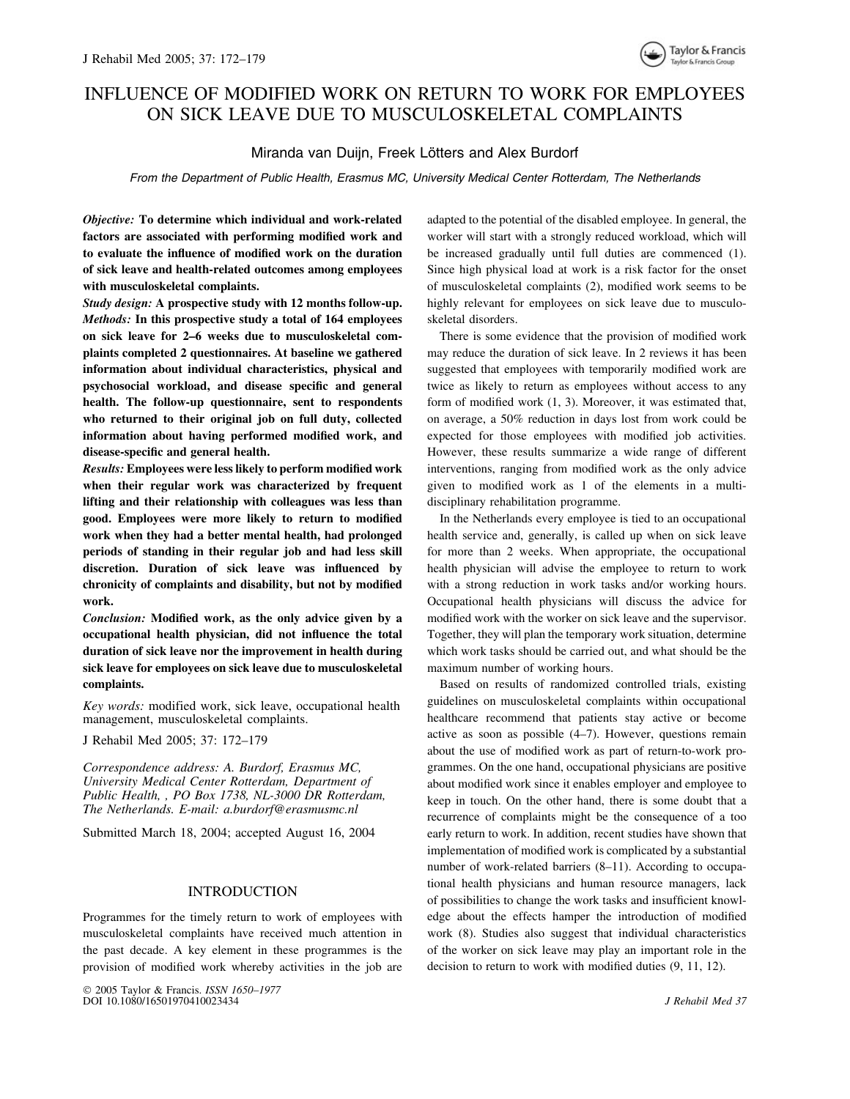# INFLUENCE OF MODIFIED WORK ON RETURN TO WORK FOR EMPLOYEES ON SICK LEAVE DUE TO MUSCULOSKELETAL COMPLAINTS

# Miranda van Duijn, Freek Lötters and Alex Burdorf

*From the Department of Public Health, Erasmus MC, University Medical Center Rotterdam, The Netherlands*

*Objective:* **To determine which individual and work-related factors are associated with performing modified work and to evaluate the influence of modified work on the duration of sick leave and health-related outcomes among employees with musculoskeletal complaints.**

*Study design:* **A prospective study with 12 months follow-up.** *Methods:* **In this prospective study a total of 164 employees on sick leave for 2–6 weeks due to musculoskeletal complaints completed 2 questionnaires. At baseline we gathered information about individual characteristics, physical and psychosocial workload, and disease specific and general health. The follow-up questionnaire, sent to respondents who returned to their original job on full duty, collected information about having performed modified work, and disease-specific and general health.**

*Results:* **Employees were less likely to perform modified work when their regular work was characterized by frequent lifting and their relationship with colleagues was less than good. Employees were more likely to return to modified work when they had a better mental health, had prolonged periods of standing in their regular job and had less skill discretion. Duration of sick leave was influenced by chronicity of complaints and disability, but not by modified work.**

*Conclusion:* **Modified work, as the only advice given by a occupational health physician, did not influence the total duration of sick leave nor the improvement in health during sick leave for employees on sick leave due to musculoskeletal complaints.**

*Key words:* modified work, sick leave, occupational health management, musculoskeletal complaints.

J Rehabil Med 2005; 37: 172–179

*Correspondence address: A. Burdorf, Erasmus MC, University Medical Center Rotterdam, Department of Public Health, , PO Box 1738, NL-3000 DR Rotterdam, The Netherlands. E-mail: a.burdorf@erasmusmc.nl*

Submitted March 18, 2004; accepted August 16, 2004

# INTRODUCTION

Programmes for the timely return to work of employees with musculoskeletal complaints have received much attention in the past decade. A key element in these programmes is the provision of modified work whereby activities in the job are

 2005 Taylor & Francis. *ISSN 1650–1977* DOI 10.1080/16501970410023434 *J Rehabil Med 37*

adapted to the potential of the disabled employee. In general, the worker will start with a strongly reduced workload, which will be increased gradually until full duties are commenced (1). Since high physical load at work is a risk factor for the onset of musculoskeletal complaints (2), modified work seems to be highly relevant for employees on sick leave due to musculoskeletal disorders.

There is some evidence that the provision of modified work may reduce the duration of sick leave. In 2 reviews it has been suggested that employees with temporarily modified work are twice as likely to return as employees without access to any form of modified work (1, 3). Moreover, it was estimated that, on average, a 50% reduction in days lost from work could be expected for those employees with modified job activities. However, these results summarize a wide range of different interventions, ranging from modified work as the only advice given to modified work as 1 of the elements in a multidisciplinary rehabilitation programme.

In the Netherlands every employee is tied to an occupational health service and, generally, is called up when on sick leave for more than 2 weeks. When appropriate, the occupational health physician will advise the employee to return to work with a strong reduction in work tasks and/or working hours. Occupational health physicians will discuss the advice for modified work with the worker on sick leave and the supervisor. Together, they will plan the temporary work situation, determine which work tasks should be carried out, and what should be the maximum number of working hours.

Based on results of randomized controlled trials, existing guidelines on musculoskeletal complaints within occupational healthcare recommend that patients stay active or become active as soon as possible (4–7). However, questions remain about the use of modified work as part of return-to-work programmes. On the one hand, occupational physicians are positive about modified work since it enables employer and employee to keep in touch. On the other hand, there is some doubt that a recurrence of complaints might be the consequence of a too early return to work. In addition, recent studies have shown that implementation of modified work is complicated by a substantial number of work-related barriers (8–11). According to occupational health physicians and human resource managers, lack of possibilities to change the work tasks and insufficient knowledge about the effects hamper the introduction of modified work (8). Studies also suggest that individual characteristics of the worker on sick leave may play an important role in the decision to return to work with modified duties (9, 11, 12).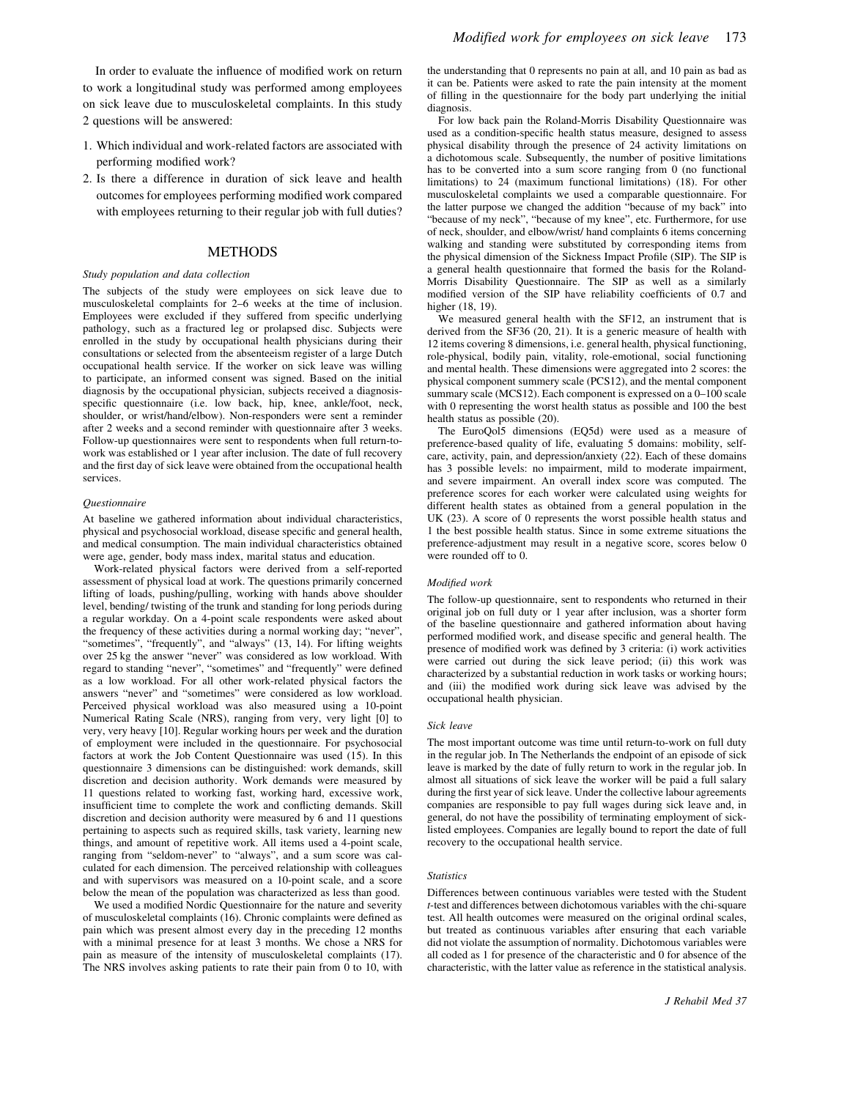In order to evaluate the influence of modified work on return to work a longitudinal study was performed among employees on sick leave due to musculoskeletal complaints. In this study 2 questions will be answered:

- 1. Which individual and work-related factors are associated with performing modified work?
- 2. Is there a difference in duration of sick leave and health outcomes for employees performing modified work compared with employees returning to their regular job with full duties?

## METHODS

#### *Study population and data collection*

The subjects of the study were employees on sick leave due to musculoskeletal complaints for 2–6 weeks at the time of inclusion. Employees were excluded if they suffered from specific underlying pathology, such as a fractured leg or prolapsed disc. Subjects were enrolled in the study by occupational health physicians during their consultations or selected from the absenteeism register of a large Dutch occupational health service. If the worker on sick leave was willing to participate, an informed consent was signed. Based on the initial diagnosis by the occupational physician, subjects received a diagnosisspecific questionnaire (i.e. low back, hip, knee, ankle/foot, neck, shoulder, or wrist/hand/elbow). Non-responders were sent a reminder after 2 weeks and a second reminder with questionnaire after 3 weeks. Follow-up questionnaires were sent to respondents when full return-towork was established or 1 year after inclusion. The date of full recovery and the first day of sick leave were obtained from the occupational health services.

#### *Questionnaire*

At baseline we gathered information about individual characteristics, physical and psychosocial workload, disease specific and general health, and medical consumption. The main individual characteristics obtained were age, gender, body mass index, marital status and education.

Work-related physical factors were derived from a self-reported assessment of physical load at work. The questions primarily concerned lifting of loads, pushing/pulling, working with hands above shoulder level, bending/ twisting of the trunk and standing for long periods during a regular workday. On a 4-point scale respondents were asked about the frequency of these activities during a normal working day; "never", "sometimes", "frequently", and "always" (13, 14). For lifting weights over 25 kg the answer "never" was considered as low workload. With regard to standing "never", "sometimes" and "frequently" were defined as a low workload. For all other work-related physical factors the answers "never" and "sometimes" were considered as low workload. Perceived physical workload was also measured using a 10-point Numerical Rating Scale (NRS), ranging from very, very light [0] to very, very heavy [10]. Regular working hours per week and the duration of employment were included in the questionnaire. For psychosocial factors at work the Job Content Questionnaire was used (15). In this questionnaire 3 dimensions can be distinguished: work demands, skill discretion and decision authority. Work demands were measured by 11 questions related to working fast, working hard, excessive work, insufficient time to complete the work and conflicting demands. Skill discretion and decision authority were measured by 6 and 11 questions pertaining to aspects such as required skills, task variety, learning new things, and amount of repetitive work. All items used a 4-point scale, ranging from "seldom-never" to "always", and a sum score was calculated for each dimension. The perceived relationship with colleagues and with supervisors was measured on a 10-point scale, and a score below the mean of the population was characterized as less than good.

We used a modified Nordic Questionnaire for the nature and severity of musculoskeletal complaints (16). Chronic complaints were defined as pain which was present almost every day in the preceding 12 months with a minimal presence for at least 3 months. We chose a NRS for pain as measure of the intensity of musculoskeletal complaints (17). The NRS involves asking patients to rate their pain from 0 to 10, with the understanding that 0 represents no pain at all, and 10 pain as bad as it can be. Patients were asked to rate the pain intensity at the moment of filling in the questionnaire for the body part underlying the initial diagnosis.

For low back pain the Roland-Morris Disability Questionnaire was used as a condition-specific health status measure, designed to assess physical disability through the presence of 24 activity limitations on a dichotomous scale. Subsequently, the number of positive limitations has to be converted into a sum score ranging from 0 (no functional limitations) to 24 (maximum functional limitations) (18). For other musculoskeletal complaints we used a comparable questionnaire. For the latter purpose we changed the addition "because of my back" into "because of my neck", "because of my knee", etc. Furthermore, for use of neck, shoulder, and elbow/wrist/ hand complaints 6 items concerning walking and standing were substituted by corresponding items from the physical dimension of the Sickness Impact Profile (SIP). The SIP is a general health questionnaire that formed the basis for the Roland-Morris Disability Questionnaire. The SIP as well as a similarly modified version of the SIP have reliability coefficients of 0.7 and higher (18, 19).

We measured general health with the SF12, an instrument that is derived from the SF36 (20, 21). It is a generic measure of health with 12 items covering 8 dimensions, i.e. general health, physical functioning, role-physical, bodily pain, vitality, role-emotional, social functioning and mental health. These dimensions were aggregated into 2 scores: the physical component summery scale (PCS12), and the mental component summary scale (MCS12). Each component is expressed on a 0–100 scale with 0 representing the worst health status as possible and 100 the best health status as possible (20).

The EuroQol5 dimensions (EQ5d) were used as a measure of preference-based quality of life, evaluating 5 domains: mobility, selfcare, activity, pain, and depression/anxiety (22). Each of these domains has 3 possible levels: no impairment, mild to moderate impairment, and severe impairment. An overall index score was computed. The preference scores for each worker were calculated using weights for different health states as obtained from a general population in the UK (23). A score of 0 represents the worst possible health status and 1 the best possible health status. Since in some extreme situations the preference-adjustment may result in a negative score, scores below 0 were rounded off to 0.

#### *Modified work*

The follow-up questionnaire, sent to respondents who returned in their original job on full duty or 1 year after inclusion, was a shorter form of the baseline questionnaire and gathered information about having performed modified work, and disease specific and general health. The presence of modified work was defined by 3 criteria: (i) work activities were carried out during the sick leave period; (ii) this work was characterized by a substantial reduction in work tasks or working hours; and (iii) the modified work during sick leave was advised by the occupational health physician.

#### *Sick leave*

The most important outcome was time until return-to-work on full duty in the regular job. In The Netherlands the endpoint of an episode of sick leave is marked by the date of fully return to work in the regular job. In almost all situations of sick leave the worker will be paid a full salary during the first year of sick leave. Under the collective labour agreements companies are responsible to pay full wages during sick leave and, in general, do not have the possibility of terminating employment of sicklisted employees. Companies are legally bound to report the date of full recovery to the occupational health service.

#### *Statistics*

Differences between continuous variables were tested with the Student *t*-test and differences between dichotomous variables with the chi-square test. All health outcomes were measured on the original ordinal scales, but treated as continuous variables after ensuring that each variable did not violate the assumption of normality. Dichotomous variables were all coded as 1 for presence of the characteristic and 0 for absence of the characteristic, with the latter value as reference in the statistical analysis.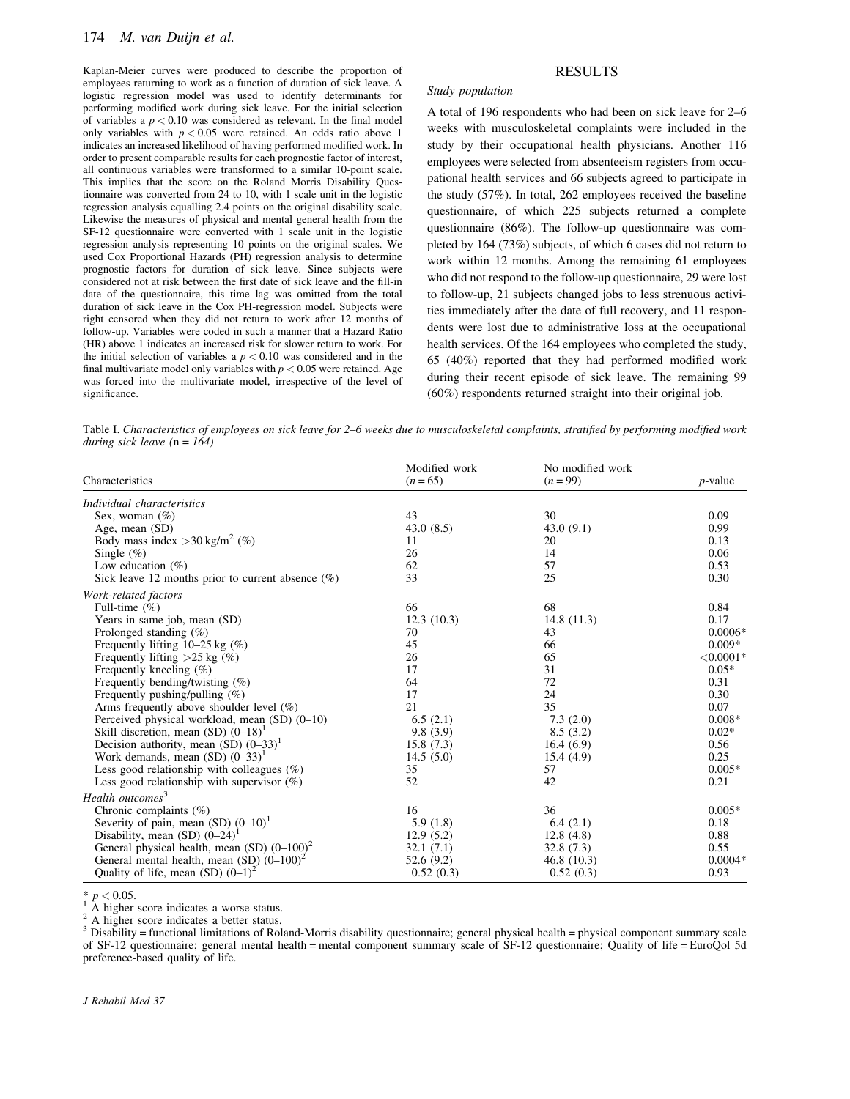Kaplan-Meier curves were produced to describe the proportion of employees returning to work as a function of duration of sick leave. A logistic regression model was used to identify determinants for performing modified work during sick leave. For the initial selection of variables a  $p < 0.10$  was considered as relevant. In the final model only variables with  $p < 0.05$  were retained. An odds ratio above 1 indicates an increased likelihood of having performed modified work. In order to present comparable results for each prognostic factor of interest, all continuous variables were transformed to a similar 10-point scale. This implies that the score on the Roland Morris Disability Questionnaire was converted from 24 to 10, with 1 scale unit in the logistic regression analysis equalling 2.4 points on the original disability scale. Likewise the measures of physical and mental general health from the SF-12 questionnaire were converted with 1 scale unit in the logistic regression analysis representing 10 points on the original scales. We used Cox Proportional Hazards (PH) regression analysis to determine prognostic factors for duration of sick leave. Since subjects were considered not at risk between the first date of sick leave and the fill-in date of the questionnaire, this time lag was omitted from the total duration of sick leave in the Cox PH-regression model. Subjects were right censored when they did not return to work after 12 months of follow-up. Variables were coded in such a manner that a Hazard Ratio (HR) above 1 indicates an increased risk for slower return to work. For the initial selection of variables a  $p < 0.10$  was considered and in the final multivariate model only variables with  $p < 0.05$  were retained. Age was forced into the multivariate model, irrespective of the level of significance.

# RESULTS

#### *Study population*

A total of 196 respondents who had been on sick leave for 2–6 weeks with musculoskeletal complaints were included in the study by their occupational health physicians. Another 116 employees were selected from absenteeism registers from occupational health services and 66 subjects agreed to participate in the study (57%). In total, 262 employees received the baseline questionnaire, of which 225 subjects returned a complete questionnaire (86%). The follow-up questionnaire was completed by 164 (73%) subjects, of which 6 cases did not return to work within 12 months. Among the remaining 61 employees who did not respond to the follow-up questionnaire, 29 were lost to follow-up, 21 subjects changed jobs to less strenuous activities immediately after the date of full recovery, and 11 respondents were lost due to administrative loss at the occupational health services. Of the 164 employees who completed the study, 65 (40%) reported that they had performed modified work during their recent episode of sick leave. The remaining 99 (60%) respondents returned straight into their original job.

Table I. *Characteristics of employees on sick leave for 2–6 weeks due to musculoskeletal complaints, stratified by performing modified work during sick leave (*n *= 164)*

| Characteristics                                      | Modified work<br>$(n = 65)$ | No modified work<br>$(n = 99)$ | $p$ -value   |  |
|------------------------------------------------------|-----------------------------|--------------------------------|--------------|--|
| Individual characteristics                           |                             |                                |              |  |
| Sex, woman $(\%)$                                    | 43                          | 30                             | 0.09         |  |
| Age, mean (SD)                                       | 43.0(8.5)                   | 43.0(9.1)                      | 0.99         |  |
| Body mass index $>30$ kg/m <sup>2</sup> (%)          | 11                          | 20                             | 0.13         |  |
| Single $(\%)$                                        | 26                          | 14                             | 0.06         |  |
| Low education $(\%)$                                 | 62                          | 57                             | 0.53         |  |
| Sick leave 12 months prior to current absence $(\%)$ | 33                          | 25                             | 0.30         |  |
| Work-related factors                                 |                             |                                |              |  |
| Full-time $(\%)$                                     | 66                          | 68                             | 0.84         |  |
| Years in same job, mean (SD)                         | 12.3(10.3)                  | 14.8(11.3)                     | 0.17         |  |
| Prolonged standing $(\%)$                            | 70                          | 43                             | $0.0006*$    |  |
| Frequently lifting $10-25$ kg $(\%)$                 | 45                          | 66                             | $0.009*$     |  |
| Frequently lifting $>25$ kg (%)                      | 26                          | 65                             | ${<}0.0001*$ |  |
| Frequently kneeling $(\%)$                           | 17                          | 31                             | $0.05*$      |  |
| Frequently bending/twisting $(\%)$                   | 64                          | 72                             | 0.31         |  |
| Frequently pushing/pulling $(\%)$                    | 17                          | 24                             | 0.30         |  |
| Arms frequently above shoulder level $(\%)$          | 21                          | 35                             | 0.07         |  |
| Perceived physical workload, mean (SD) (0–10)        | 6.5(2.1)                    | 7.3(2.0)                       | $0.008*$     |  |
| Skill discretion, mean (SD) $(0-18)^1$               | 9.8(3.9)                    | 8.5(3.2)                       | $0.02*$      |  |
| Decision authority, mean $(SD)$ $(0-33)^{1}$         | 15.8(7.3)                   | 16.4(6.9)                      | 0.56         |  |
| Work demands, mean $(SD)$ $(0-33)^{1}$               | 14.5(5.0)                   | 15.4(4.9)                      | 0.25         |  |
| Less good relationship with colleagues $(\%)$        | 35                          | 57                             | $0.005*$     |  |
| Less good relationship with supervisor $(\%)$        | 52                          | 42                             | 0.21         |  |
| Health outcomes <sup>3</sup>                         |                             |                                |              |  |
| Chronic complaints $(\%)$                            | 16                          | 36                             | $0.005*$     |  |
| Severity of pain, mean $(SD)$ $(0-10)^{1}$           | 5.9(1.8)                    | 6.4(2.1)                       | 0.18         |  |
| Disability, mean (SD) $(0-24)^1$                     | 12.9(5.2)                   | 12.8(4.8)                      | 0.88         |  |
| General physical health, mean (SD) $(0-100)^2$       | 32.1(7.1)                   | 32.8 (7.3)                     | 0.55         |  |
| General mental health, mean $(SD)$ $(0-100)^2$       | 52.6 (9.2)                  | 46.8 (10.3)                    | $0.0004*$    |  |
| Quality of life, mean (SD) $(0-1)^2$                 | 0.52(0.3)                   | 0.52(0.3)                      | 0.93         |  |

\*  $p < 0.05$ .<br>
<sup>1</sup> A higher score indicates a worse status.<br>
<sup>2</sup> A higher score indicates a better status.<br>
<sup>3</sup> Disability = functional limitations of Roland-Morris disability questionnaire; general physical health = physi of SF-12 questionnaire; general mental health = mental component summary scale of SF-12 questionnaire; Quality of life = EuroQol 5d preference-based quality of life.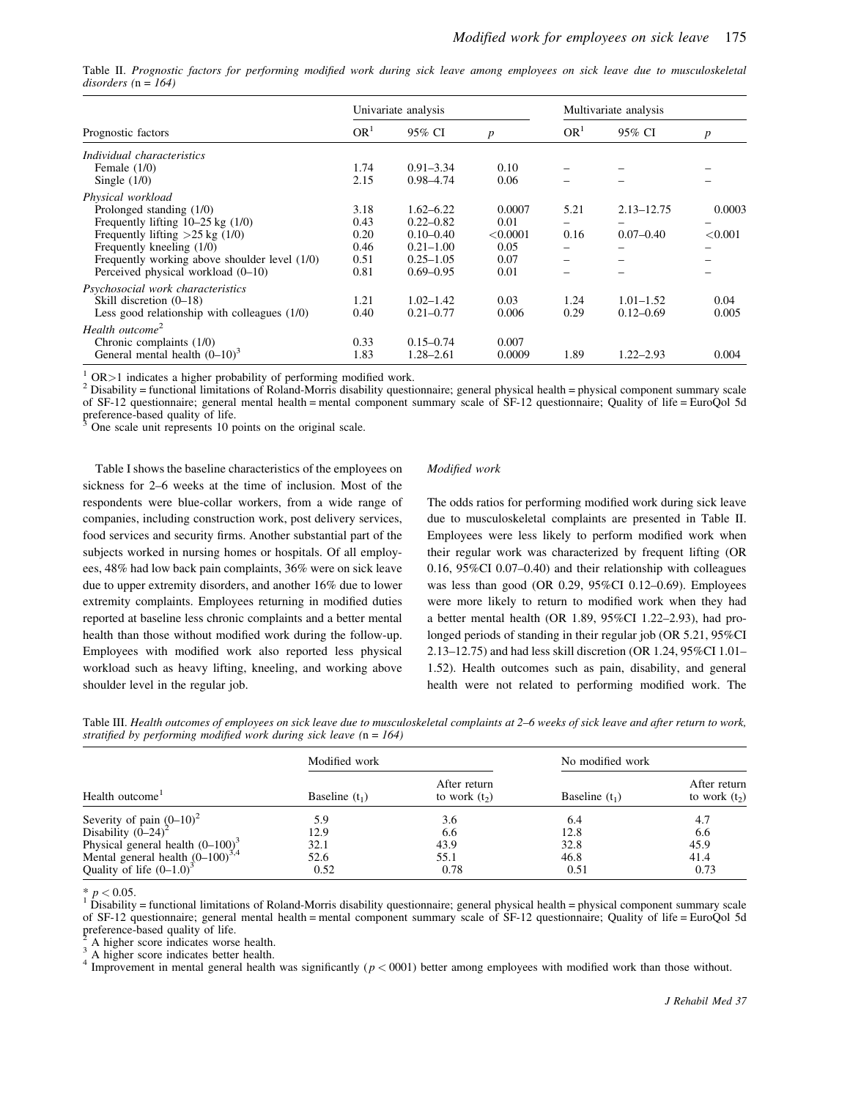Table II. *Prognostic factors for performing modified work during sick leave among employees on sick leave due to musculoskeletal disorders (*n *= 164)*

|                                                |                 | Univariate analysis |                  | Multivariate analysis |                |                  |
|------------------------------------------------|-----------------|---------------------|------------------|-----------------------|----------------|------------------|
| Prognostic factors                             | OR <sup>1</sup> | 95% CI              | $\boldsymbol{p}$ | OR <sup>1</sup>       | 95% CI         | $\boldsymbol{p}$ |
| Individual characteristics                     |                 |                     |                  |                       |                |                  |
| Female $(1/0)$                                 | 1.74            | $0.91 - 3.34$       | 0.10             |                       |                |                  |
| Single $(1/0)$                                 | 2.15            | $0.98 - 4.74$       | 0.06             |                       |                |                  |
| Physical workload                              |                 |                     |                  |                       |                |                  |
| Prolonged standing (1/0)                       | 3.18            | $1.62 - 6.22$       | 0.0007           | 5.21                  | $2.13 - 12.75$ | 0.0003           |
| Frequently lifting $10-25$ kg $(1/0)$          | 0.43            | $0.22 - 0.82$       | 0.01             |                       |                |                  |
| Frequently lifting $>25$ kg (1/0)              | 0.20            | $0.10 - 0.40$       | < 0.0001         | 0.16                  | $0.07 - 0.40$  | < 0.001          |
| Frequently kneeling (1/0)                      | 0.46            | $0.21 - 1.00$       | 0.05             |                       |                |                  |
| Frequently working above shoulder level (1/0)  | 0.51            | $0.25 - 1.05$       | 0.07             | -                     |                |                  |
| Perceived physical workload (0–10)             | 0.81            | $0.69 - 0.95$       | 0.01             |                       |                |                  |
| Psychosocial work characteristics              |                 |                     |                  |                       |                |                  |
| Skill discretion $(0-18)$                      | 1.21            | $1.02 - 1.42$       | 0.03             | 1.24                  | $1.01 - 1.52$  | 0.04             |
| Less good relationship with colleagues $(1/0)$ | 0.40            | $0.21 - 0.77$       | 0.006            | 0.29                  | $0.12 - 0.69$  | 0.005            |
| Health outcome <sup>2</sup>                    |                 |                     |                  |                       |                |                  |
| Chronic complaints $(1/0)$                     | 0.33            | $0.15 - 0.74$       | 0.007            |                       |                |                  |
| General mental health $(0-10)^3$               | 1.83            | $1.28 - 2.61$       | 0.0009           | 1.89                  | $1.22 - 2.93$  | 0.004            |

 $\frac{1}{2}$  OR > 1 indicates a higher probability of performing modified work.

<sup>2</sup> Disability = functional limitations of Roland-Morris disability questionnaire; general physical health = physical component summary scale of SF-12 questionnaire; general mental health = mental component summary scale of SF-12 questionnaire; Quality of life = EuroQol 5d  $\frac{1}{2}$  preference-based quality of life.

One scale unit represents 10 points on the original scale.

Table I shows the baseline characteristics of the employees on sickness for 2–6 weeks at the time of inclusion. Most of the respondents were blue-collar workers, from a wide range of companies, including construction work, post delivery services, food services and security firms. Another substantial part of the subjects worked in nursing homes or hospitals. Of all employees, 48% had low back pain complaints, 36% were on sick leave due to upper extremity disorders, and another 16% due to lower extremity complaints. Employees returning in modified duties reported at baseline less chronic complaints and a better mental health than those without modified work during the follow-up. Employees with modified work also reported less physical workload such as heavy lifting, kneeling, and working above shoulder level in the regular job.

## *Modified work*

The odds ratios for performing modified work during sick leave due to musculoskeletal complaints are presented in Table II. Employees were less likely to perform modified work when their regular work was characterized by frequent lifting (OR 0.16, 95%CI 0.07–0.40) and their relationship with colleagues was less than good (OR 0.29, 95%CI 0.12–0.69). Employees were more likely to return to modified work when they had a better mental health (OR 1.89, 95%CI 1.22–2.93), had prolonged periods of standing in their regular job (OR 5.21, 95%CI 2.13–12.75) and had less skill discretion (OR 1.24, 95%CI 1.01– 1.52). Health outcomes such as pain, disability, and general health were not related to performing modified work. The

Table III. *Health outcomes of employees on sick leave due to musculoskeletal complaints at 2–6 weeks of sick leave and after return to work, stratified by performing modified work during sick leave (*n *= 164)*

| Health outcome <sup>1</sup>                                                                                 | Modified work    |                                | No modified work |                                 |
|-------------------------------------------------------------------------------------------------------------|------------------|--------------------------------|------------------|---------------------------------|
|                                                                                                             | Baseline $(t_1)$ | After return<br>to work $(t2)$ | Baseline $(t_1)$ | After return<br>to work $(t_2)$ |
|                                                                                                             | 5.9              | 3.6                            | 6.4              | 4.7                             |
| Severity of pain $(0-10)^2$<br>Disability $(0-24)^2$                                                        | 12.9             | 6.6                            | 12.8             | 6.6                             |
|                                                                                                             | 32.1             | 43.9                           | 32.8             | 45.9                            |
| Physical general health $(0-100)^3$<br>Mental general health $(0-100)^{3,4}$<br>Quality of life $(0-1.0)^3$ | 52.6<br>0.52     | 55.1<br>0.78                   | 46.8<br>0.51     | 41.4<br>0.73                    |

 $* p < 0.05$ .<br><sup>1</sup> Disability = functional limitations of Roland-Morris disability questionnaire; general physical health = physical component summary scale of SF-12 questionnaire; general mental health = mental component summary scale of SF-12 questionnaire; Quality of life = EuroQol 5d preference-based quality of life.<br><sup>2</sup> A higher score indicates worse health.

<sup>3</sup> A higher score indicates better health.<br><sup>4</sup> Improvement in mental general health was significantly ( $p < 0001$ ) better among employees with modified work than those without.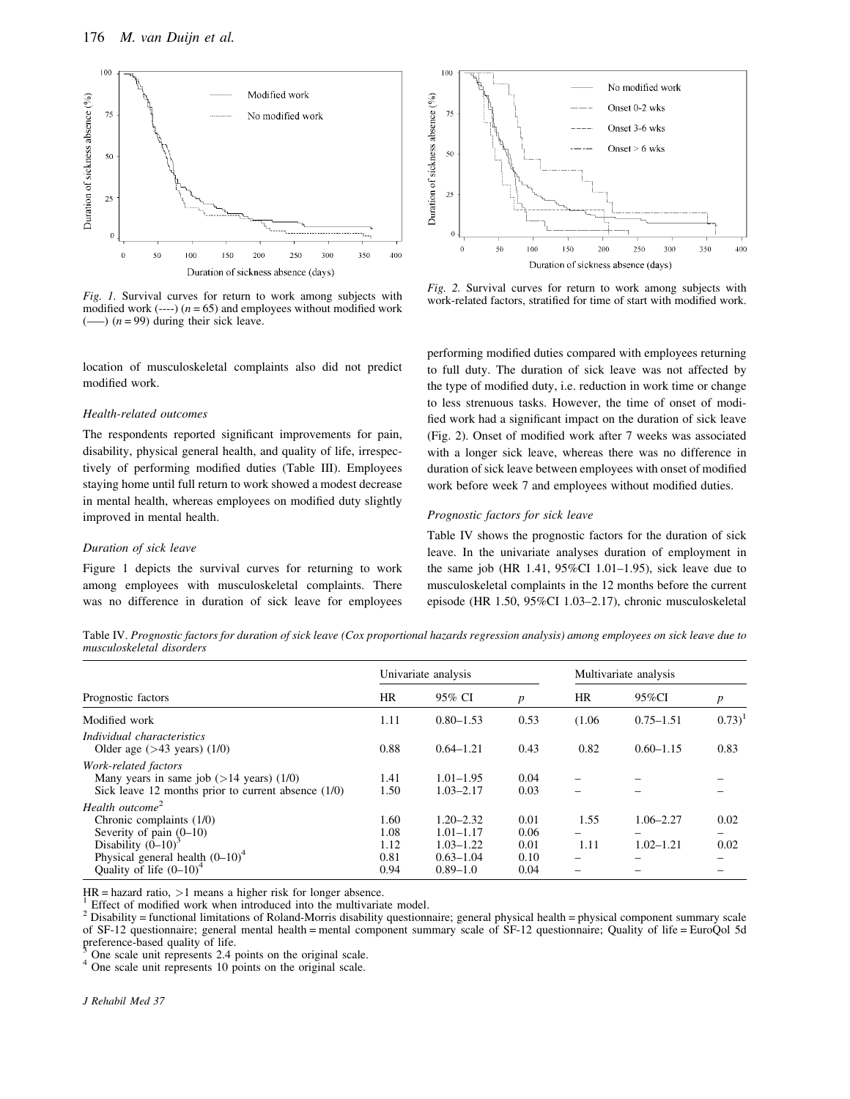

*Fig. 1.* Survival curves for return to work among subjects with modified work  $(--1)(n = 65)$  and employees without modified work  $(-\rightarrow)$  ( $n = 99$ ) during their sick leave.

location of musculoskeletal complaints also did not predict modified work.

## *Health-related outcomes*

The respondents reported significant improvements for pain, disability, physical general health, and quality of life, irrespectively of performing modified duties (Table III). Employees staying home until full return to work showed a modest decrease in mental health, whereas employees on modified duty slightly improved in mental health.

## *Duration of sick leave*

Figure 1 depicts the survival curves for returning to work among employees with musculoskeletal complaints. There was no difference in duration of sick leave for employees



*Fig. 2.* Survival curves for return to work among subjects with work-related factors, stratified for time of start with modified work.

performing modified duties compared with employees returning to full duty. The duration of sick leave was not affected by the type of modified duty, i.e. reduction in work time or change to less strenuous tasks. However, the time of onset of modified work had a significant impact on the duration of sick leave (Fig. 2). Onset of modified work after 7 weeks was associated with a longer sick leave, whereas there was no difference in duration of sick leave between employees with onset of modified work before week 7 and employees without modified duties.

#### *Prognostic factors for sick leave*

Table IV shows the prognostic factors for the duration of sick leave. In the univariate analyses duration of employment in the same job (HR  $1.41$ ,  $95\%$ CI  $1.01-1.95$ ), sick leave due to musculoskeletal complaints in the 12 months before the current episode (HR 1.50, 95%CI 1.03–2.17), chronic musculoskeletal

Table IV. *Prognostic factors for duration of sick leave (Cox proportional hazards regression analysis) among employees on sick leave due to musculoskeletal disorders*

|                                                                                                                                                                                     | Univariate analysis                  |                                                                                  |                                      | Multivariate analysis |                                |              |
|-------------------------------------------------------------------------------------------------------------------------------------------------------------------------------------|--------------------------------------|----------------------------------------------------------------------------------|--------------------------------------|-----------------------|--------------------------------|--------------|
| Prognostic factors                                                                                                                                                                  | <b>HR</b>                            | 95% CI                                                                           | $\boldsymbol{p}$                     | HR                    | 95%CI                          | p            |
| Modified work                                                                                                                                                                       | 1.11                                 | $0.80 - 1.53$                                                                    | 0.53                                 | (1.06)                | $0.75 - 1.51$                  | $(0.73)^1$   |
| Individual characteristics<br>Older age $($ >43 years $)$ $(1/0)$                                                                                                                   | 0.88                                 | $0.64 - 1.21$                                                                    | 0.43                                 | 0.82                  | $0.60 - 1.15$                  | 0.83         |
| Work-related factors<br>Many years in same job $($ >14 years $)$ $(1/0)$<br>Sick leave 12 months prior to current absence $(1/0)$                                                   | 1.41<br>1.50                         | $1.01 - 1.95$<br>$1.03 - 2.17$                                                   | 0.04<br>0.03                         |                       |                                |              |
| Health outcome <sup>2</sup><br>Chronic complaints $(1/0)$<br>Severity of pain $(0-10)$<br>Disability $(0-10)^3$<br>Physical general health $(0-10)^4$<br>Quality of life $(0-10)^4$ | 1.60<br>1.08<br>1.12<br>0.81<br>0.94 | $1.20 - 2.32$<br>$1.01 - 1.17$<br>$1.03 - 1.22$<br>$0.63 - 1.04$<br>$0.89 - 1.0$ | 0.01<br>0.06<br>0.01<br>0.10<br>0.04 | 1.55<br>-<br>1.11     | $1.06 - 2.27$<br>$1.02 - 1.21$ | 0.02<br>0.02 |

 $HR =$  hazard ratio,  $>1$  means a higher risk for longer absence.

<sup>1</sup> Effect of modified work when introduced into the multivariate model.<br><sup>2</sup> Disability = functional limitations of Roland-Morris disability questionnaire; general physical health = physical component summary scale of SF-12 questionnaire; general mental health = mental component summary scale of SF-12 questionnaire; Quality of life = EuroQol 5d preference-based quality of life.

 $3$  One scale unit represents 2.4 points on the original scale.  $4$  One scale unit represents 10 points on the original scale.

*J Rehabil Med 37*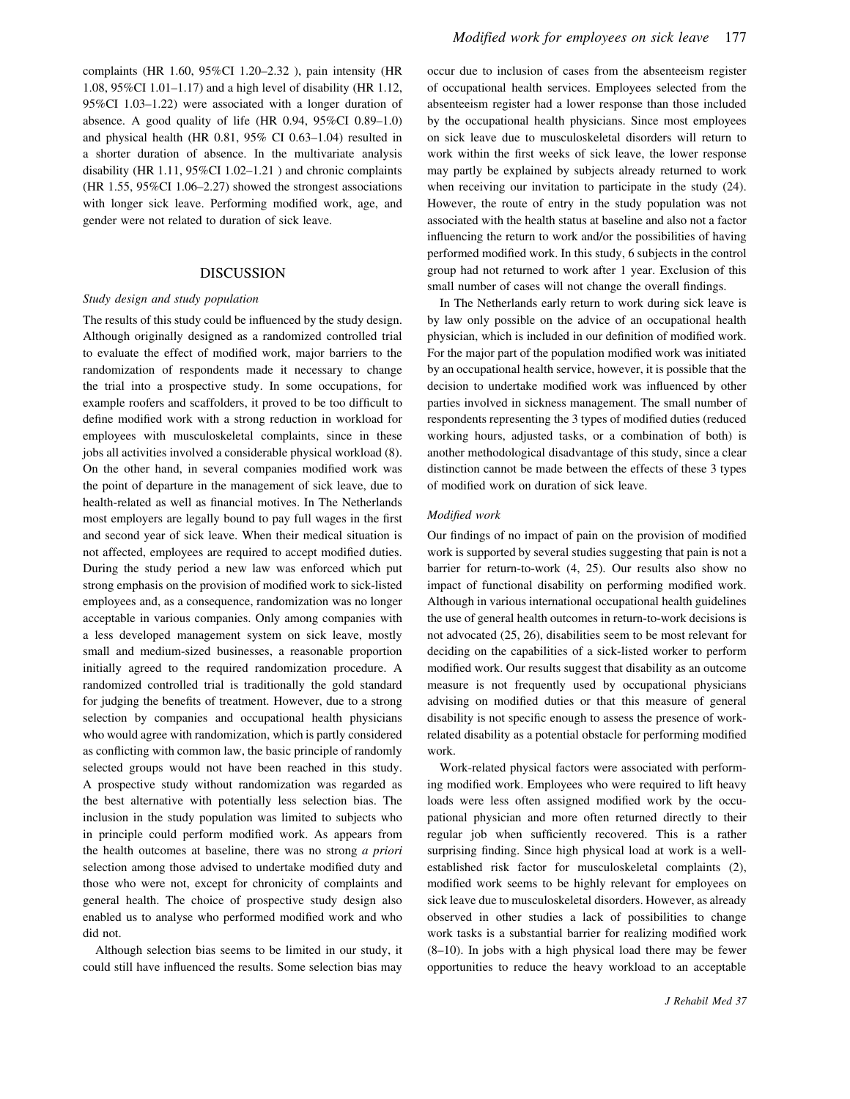complaints (HR 1.60, 95%CI 1.20–2.32 ), pain intensity (HR 1.08, 95%CI 1.01–1.17) and a high level of disability (HR 1.12, 95%CI 1.03–1.22) were associated with a longer duration of absence. A good quality of life (HR 0.94, 95%CI 0.89–1.0) and physical health (HR 0.81, 95% CI 0.63–1.04) resulted in a shorter duration of absence. In the multivariate analysis disability (HR 1.11, 95%CI 1.02–1.21 ) and chronic complaints (HR 1.55, 95%CI 1.06–2.27) showed the strongest associations with longer sick leave. Performing modified work, age, and gender were not related to duration of sick leave.

# DISCUSSION

#### *Study design and study population*

The results of this study could be influenced by the study design. Although originally designed as a randomized controlled trial to evaluate the effect of modified work, major barriers to the randomization of respondents made it necessary to change the trial into a prospective study. In some occupations, for example roofers and scaffolders, it proved to be too difficult to define modified work with a strong reduction in workload for employees with musculoskeletal complaints, since in these jobs all activities involved a considerable physical workload (8). On the other hand, in several companies modified work was the point of departure in the management of sick leave, due to health-related as well as financial motives. In The Netherlands most employers are legally bound to pay full wages in the first and second year of sick leave. When their medical situation is not affected, employees are required to accept modified duties. During the study period a new law was enforced which put strong emphasis on the provision of modified work to sick-listed employees and, as a consequence, randomization was no longer acceptable in various companies. Only among companies with a less developed management system on sick leave, mostly small and medium-sized businesses, a reasonable proportion initially agreed to the required randomization procedure. A randomized controlled trial is traditionally the gold standard for judging the benefits of treatment. However, due to a strong selection by companies and occupational health physicians who would agree with randomization, which is partly considered as conflicting with common law, the basic principle of randomly selected groups would not have been reached in this study. A prospective study without randomization was regarded as the best alternative with potentially less selection bias. The inclusion in the study population was limited to subjects who in principle could perform modified work. As appears from the health outcomes at baseline, there was no strong *a priori* selection among those advised to undertake modified duty and those who were not, except for chronicity of complaints and general health. The choice of prospective study design also enabled us to analyse who performed modified work and who did not.

Although selection bias seems to be limited in our study, it could still have influenced the results. Some selection bias may

occur due to inclusion of cases from the absenteeism register of occupational health services. Employees selected from the absenteeism register had a lower response than those included by the occupational health physicians. Since most employees on sick leave due to musculoskeletal disorders will return to work within the first weeks of sick leave, the lower response may partly be explained by subjects already returned to work when receiving our invitation to participate in the study (24). However, the route of entry in the study population was not associated with the health status at baseline and also not a factor influencing the return to work and/or the possibilities of having performed modified work. In this study, 6 subjects in the control group had not returned to work after 1 year. Exclusion of this small number of cases will not change the overall findings.

In The Netherlands early return to work during sick leave is by law only possible on the advice of an occupational health physician, which is included in our definition of modified work. For the major part of the population modified work was initiated by an occupational health service, however, it is possible that the decision to undertake modified work was influenced by other parties involved in sickness management. The small number of respondents representing the 3 types of modified duties (reduced working hours, adjusted tasks, or a combination of both) is another methodological disadvantage of this study, since a clear distinction cannot be made between the effects of these 3 types of modified work on duration of sick leave.

#### *Modified work*

Our findings of no impact of pain on the provision of modified work is supported by several studies suggesting that pain is not a barrier for return-to-work (4, 25). Our results also show no impact of functional disability on performing modified work. Although in various international occupational health guidelines the use of general health outcomes in return-to-work decisions is not advocated (25, 26), disabilities seem to be most relevant for deciding on the capabilities of a sick-listed worker to perform modified work. Our results suggest that disability as an outcome measure is not frequently used by occupational physicians advising on modified duties or that this measure of general disability is not specific enough to assess the presence of workrelated disability as a potential obstacle for performing modified work.

Work-related physical factors were associated with performing modified work. Employees who were required to lift heavy loads were less often assigned modified work by the occupational physician and more often returned directly to their regular job when sufficiently recovered. This is a rather surprising finding. Since high physical load at work is a wellestablished risk factor for musculoskeletal complaints (2), modified work seems to be highly relevant for employees on sick leave due to musculoskeletal disorders. However, as already observed in other studies a lack of possibilities to change work tasks is a substantial barrier for realizing modified work (8–10). In jobs with a high physical load there may be fewer opportunities to reduce the heavy workload to an acceptable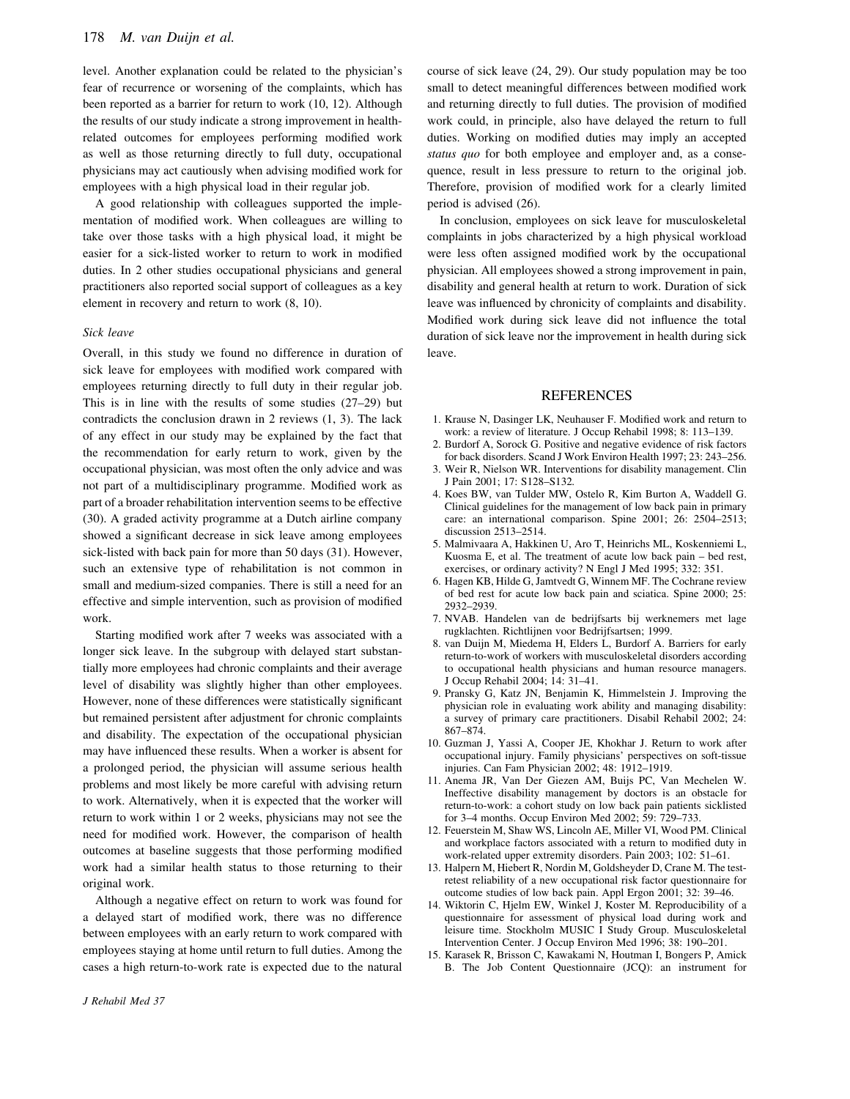level. Another explanation could be related to the physician's fear of recurrence or worsening of the complaints, which has been reported as a barrier for return to work (10, 12). Although the results of our study indicate a strong improvement in healthrelated outcomes for employees performing modified work as well as those returning directly to full duty, occupational physicians may act cautiously when advising modified work for employees with a high physical load in their regular job.

A good relationship with colleagues supported the implementation of modified work. When colleagues are willing to take over those tasks with a high physical load, it might be easier for a sick-listed worker to return to work in modified duties. In 2 other studies occupational physicians and general practitioners also reported social support of colleagues as a key element in recovery and return to work (8, 10).

#### *Sick leave*

Overall, in this study we found no difference in duration of sick leave for employees with modified work compared with employees returning directly to full duty in their regular job. This is in line with the results of some studies (27–29) but contradicts the conclusion drawn in 2 reviews (1, 3). The lack of any effect in our study may be explained by the fact that the recommendation for early return to work, given by the occupational physician, was most often the only advice and was not part of a multidisciplinary programme. Modified work as part of a broader rehabilitation intervention seems to be effective (30). A graded activity programme at a Dutch airline company showed a significant decrease in sick leave among employees sick-listed with back pain for more than 50 days (31). However, such an extensive type of rehabilitation is not common in small and medium-sized companies. There is still a need for an effective and simple intervention, such as provision of modified work.

Starting modified work after 7 weeks was associated with a longer sick leave. In the subgroup with delayed start substantially more employees had chronic complaints and their average level of disability was slightly higher than other employees. However, none of these differences were statistically significant but remained persistent after adjustment for chronic complaints and disability. The expectation of the occupational physician may have influenced these results. When a worker is absent for a prolonged period, the physician will assume serious health problems and most likely be more careful with advising return to work. Alternatively, when it is expected that the worker will return to work within 1 or 2 weeks, physicians may not see the need for modified work. However, the comparison of health outcomes at baseline suggests that those performing modified work had a similar health status to those returning to their original work.

Although a negative effect on return to work was found for a delayed start of modified work, there was no difference between employees with an early return to work compared with employees staying at home until return to full duties. Among the cases a high return-to-work rate is expected due to the natural course of sick leave (24, 29). Our study population may be too small to detect meaningful differences between modified work and returning directly to full duties. The provision of modified work could, in principle, also have delayed the return to full duties. Working on modified duties may imply an accepted *status quo* for both employee and employer and, as a consequence, result in less pressure to return to the original job. Therefore, provision of modified work for a clearly limited period is advised (26).

In conclusion, employees on sick leave for musculoskeletal complaints in jobs characterized by a high physical workload were less often assigned modified work by the occupational physician. All employees showed a strong improvement in pain, disability and general health at return to work. Duration of sick leave was influenced by chronicity of complaints and disability. Modified work during sick leave did not influence the total duration of sick leave nor the improvement in health during sick leave.

# REFERENCES

- 1. Krause N, Dasinger LK, Neuhauser F. Modified work and return to work: a review of literature. J Occup Rehabil 1998; 8: 113–139.
- 2. Burdorf A, Sorock G. Positive and negative evidence of risk factors for back disorders. Scand J Work Environ Health 1997; 23: 243–256.
- 3. Weir R, Nielson WR. Interventions for disability management. Clin J Pain 2001; 17: S128–S132.
- 4. Koes BW, van Tulder MW, Ostelo R, Kim Burton A, Waddell G. Clinical guidelines for the management of low back pain in primary care: an international comparison. Spine 2001; 26: 2504–2513; discussion 2513–2514.
- 5. Malmivaara A, Hakkinen U, Aro T, Heinrichs ML, Koskenniemi L, Kuosma E, et al. The treatment of acute low back pain – bed rest, exercises, or ordinary activity? N Engl J Med 1995; 332: 351.
- 6. Hagen KB, Hilde G, Jamtvedt G, Winnem MF. The Cochrane review of bed rest for acute low back pain and sciatica. Spine 2000; 25: 2932–2939.
- 7. NVAB. Handelen van de bedrijfsarts bij werknemers met lage rugklachten. Richtlijnen voor Bedrijfsartsen; 1999.
- 8. van Duijn M, Miedema H, Elders L, Burdorf A. Barriers for early return-to-work of workers with musculoskeletal disorders according to occupational health physicians and human resource managers. J Occup Rehabil 2004; 14: 31–41.
- 9. Pransky G, Katz JN, Benjamin K, Himmelstein J. Improving the physician role in evaluating work ability and managing disability: a survey of primary care practitioners. Disabil Rehabil 2002; 24: 867–874.
- 10. Guzman J, Yassi A, Cooper JE, Khokhar J. Return to work after occupational injury. Family physicians' perspectives on soft-tissue injuries. Can Fam Physician 2002; 48: 1912–1919.
- 11. Anema JR, Van Der Giezen AM, Buijs PC, Van Mechelen W. Ineffective disability management by doctors is an obstacle for return-to-work: a cohort study on low back pain patients sicklisted for 3–4 months. Occup Environ Med 2002; 59: 729–733.
- 12. Feuerstein M, Shaw WS, Lincoln AE, Miller VI, Wood PM. Clinical and workplace factors associated with a return to modified duty in work-related upper extremity disorders. Pain 2003; 102: 51–61.
- 13. Halpern M, Hiebert R, Nordin M, Goldsheyder D, Crane M. The testretest reliability of a new occupational risk factor questionnaire for outcome studies of low back pain. Appl Ergon 2001; 32: 39–46.
- 14. Wiktorin C, Hjelm EW, Winkel J, Koster M. Reproducibility of a questionnaire for assessment of physical load during work and leisure time. Stockholm MUSIC I Study Group. Musculoskeletal Intervention Center. J Occup Environ Med 1996; 38: 190–201.
- 15. Karasek R, Brisson C, Kawakami N, Houtman I, Bongers P, Amick B. The Job Content Questionnaire (JCQ): an instrument for